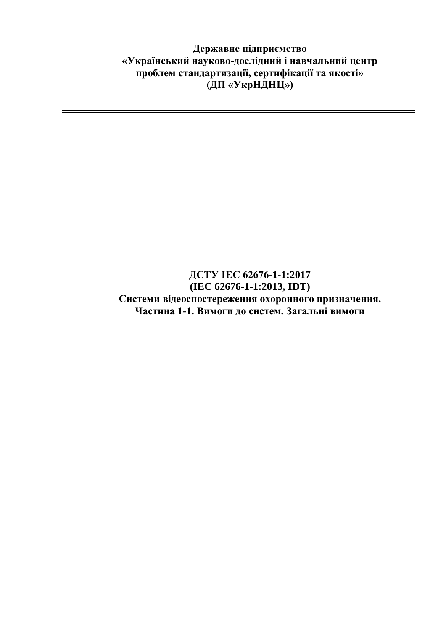**Державне підприємство «Український науково-дослідний і навчальний центр проблем стандартизації, сертифікації та якості» (ДП «УкрНДНЦ»)**

## **ДСТУ IEC 62676-1-1:2017 (IEC 62676-1-1:2013, IDT) Системи відеоспостереження охоронного призначення. Частина 1-1. Вимоги до систем. Загальні вимоги**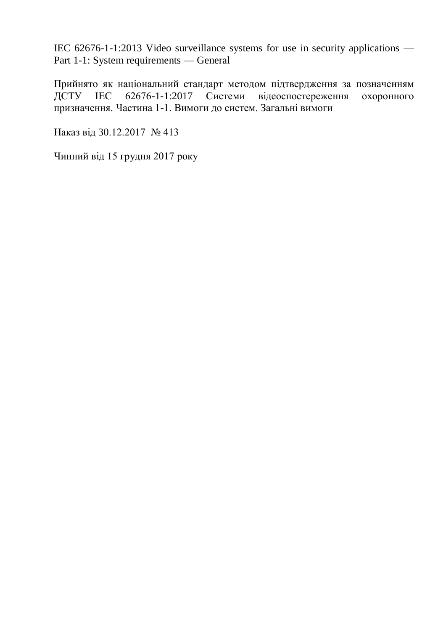IEC 62676-1-1:2013 Video surveillance systems for use in security applications — Part 1-1: System requirements — General

Прийнято як національний стандарт методом підтвердження за позначенням ДСТУ IEC 62676-1-1:2017 Системи відеоспостереження охоронного призначення. Частина 1-1. Вимоги до систем. Загальні вимоги

Наказ від 30.12.2017 № 413

Чинний від 15 грудня 2017 року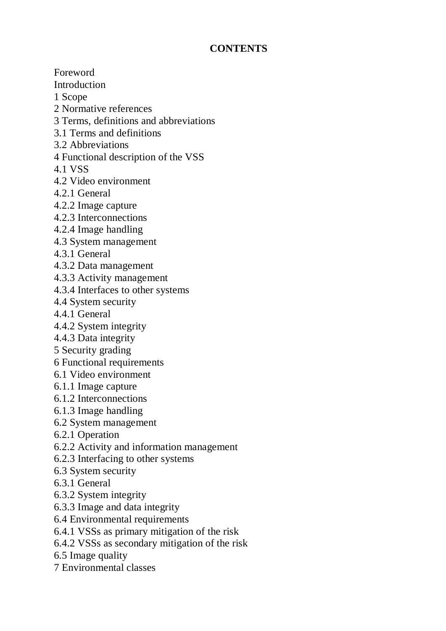## **CONTENTS**

Foreword

Introduction

1 Scope

2 Normative references

3 Terms, definitions and abbreviations

3.1 Terms and definitions

3.2 Abbreviations

4 Functional description of the VSS

4.1 VSS

4.2 Video environment

4.2.1 General

4.2.2 Image capture

4.2.3 Interconnections

4.2.4 Image handling

4.3 System management

4.3.1 General

4.3.2 Data management

4.3.3 Activity management

4.3.4 Interfaces to other systems

4.4 System security

4.4.1 General

4.4.2 System integrity

4.4.3 Data integrity

5 Security grading

6 Functional requirements

6.1 Video environment

6.1.1 Image capture

6.1.2 Interconnections

6.1.3 Image handling

6.2 System management

6.2.1 Operation

6.2.2 Activity and information management

6.2.3 Interfacing to other systems

6.3 System security

6.3.1 General

6.3.2 System integrity

6.3.3 Image and data integrity

6.4 Environmental requirements

6.4.1 VSSs as primary mitigation of the risk

6.4.2 VSSs as secondary mitigation of the risk

6.5 Image quality

7 Environmental classes